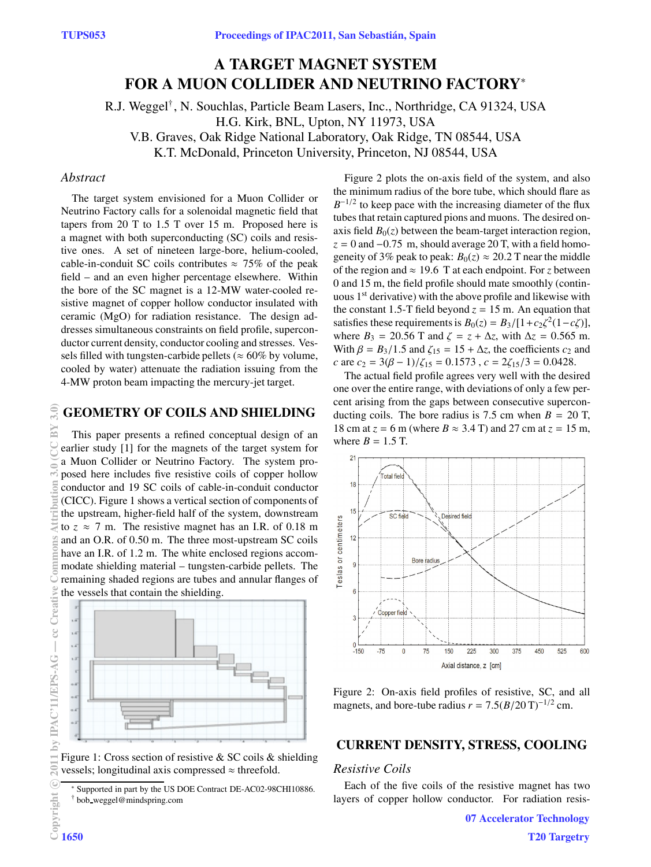# **A TARGET MAGNET SYSTEM FOR A MUON COLLIDER AND NEUTRINO FACTORY**<sup>∗</sup>

R.J. Weggel†, N. Souchlas, Particle Beam Lasers, Inc., Northridge, CA 91324, USA H.G. Kirk, BNL, Upton, NY 11973, USA V.B. Graves, Oak Ridge National Laboratory, Oak Ridge, TN 08544, USA

K.T. McDonald, Princeton University, Princeton, NJ 08544, USA

## *Abstract*

The target system envisioned for a Muon Collider or Neutrino Factory calls for a solenoidal magnetic field that tapers from 20 T to 1.5 T over 15 m. Proposed here is a magnet with both superconducting (SC) coils and resistive ones. A set of nineteen large-bore, helium-cooled, cable-in-conduit SC coils contributes  $\approx$  75% of the peak field – and an even higher percentage elsewhere. Within the bore of the SC magnet is a 12-MW water-cooled resistive magnet of copper hollow conductor insulated with ceramic (MgO) for radiation resistance. The design addresses simultaneous constraints on field profile, superconductor current density, conductor cooling and stresses. Vessels filled with tungsten-carbide pellets ( $\approx 60\%$  by volume, cooled by water) attenuate the radiation issuing from the 4-MW proton beam impacting the mercury-jet target.

# **GEOMETRY OF COILS AND SHIELDING**

This paper presents a refined conceptual design of an earlier study [1] for the magnets of the target system for a Muon Collider or Neutrino Factory. The system proposed here includes five resistive coils of copper hollow conductor and 19 SC coils of cable-in-conduit conductor (CICC). Figure 1 shows a vertical section of components of the upstream, higher-field half of the system, downstream to  $z \approx 7$  m. The resistive magnet has an I.R. of 0.18 m and an O.R. of 0.50 m. The three most-upstream SC coils have an I.R. of 1.2 m. The white enclosed regions accommodate shielding material – tungsten-carbide pellets. The remaining shaded regions are tubes and annular flanges of the vessels that contain the shielding.



Figure 1: Cross section of resistive & SC coils & shielding vessels; longitudinal axis compressed  $\approx$  threefold.

Figure 2 plots the on-axis field of the system, and also the minimum radius of the bore tube, which should flare as  $B^{-1/2}$  to keep pace with the increasing diameter of the flux tubes that retain captured pions and muons. The desired onaxis field  $B_0(z)$  between the beam-target interaction region,  $z = 0$  and  $-0.75$  m, should average 20 T, with a field homogeneity of 3% peak to peak:  $B_0(z) \approx 20.2$  T near the middle of the region and  $\approx 19.6$  T at each endpoint. For *z* between 0 and 15 m, the field profile should mate smoothly (continuous 1st derivative) with the above profile and likewise with the constant 1.5-T field beyond  $z = 15$  m. An equation that satisfies these requirements is  $B_0(z) = B_3/[1+c_2\zeta^2(1-c\zeta)],$ where  $B_3 = 20.56$  T and  $\zeta = z + \Delta z$ , with  $\Delta z = 0.565$  m. With  $\beta = B_3/1.5$  and  $\zeta_{15} = 15 + \Delta z$ , the coefficients  $c_2$  and *c* are  $c_2 = 3(\beta - 1)/\zeta_{15} = 0.1573$ ,  $c = 2\zeta_{15}/3 = 0.0428$ .

The actual field profile agrees very well with the desired one over the entire range, with deviations of only a few percent arising from the gaps between consecutive superconducting coils. The bore radius is 7.5 cm when  $B = 20$  T, 18 cm at  $z = 6$  m (where  $B \approx 3.4$  T) and 27 cm at  $z = 15$  m, where  $B = 1.5$  T.



Figure 2: On-axis field profiles of resistive, SC, and all magnets, and bore-tube radius  $r = 7.5(B/20 \text{ T})^{-1/2} \text{ cm}$ .

# **CURRENT DENSITY, STRESS, COOLING**

#### *Resistive Coils*

Each of the five coils of the resistive magnet has two layers of copper hollow conductor. For radiation resis-

<sup>∗</sup> Supported in part by the US DOE Contract DE-AC02-98CHI10886. † bob weggel@mindspring.com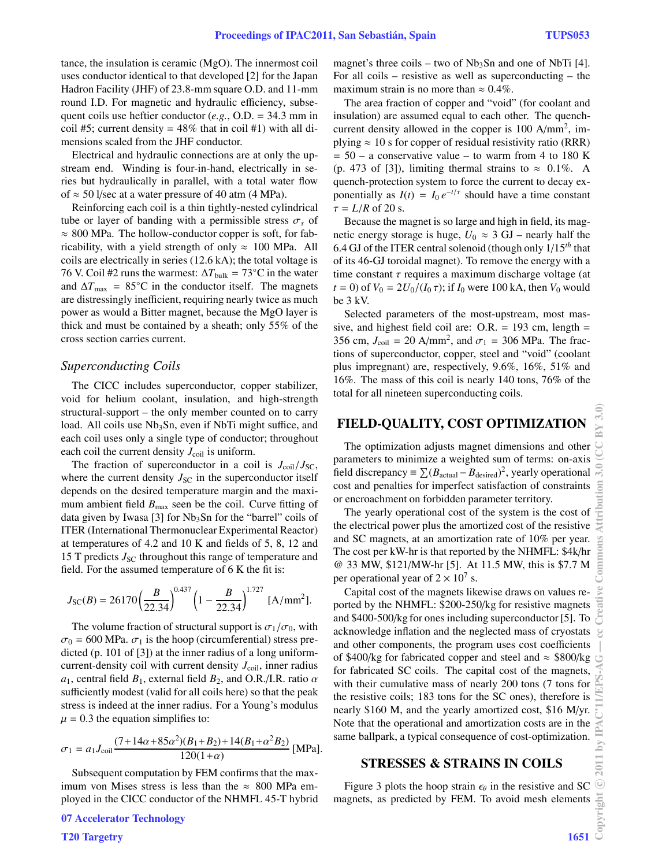tance, the insulation is ceramic (MgO). The innermost coil uses conductor identical to that developed [2] for the Japan Hadron Facility (JHF) of 23.8-mm square O.D. and 11-mm round I.D. For magnetic and hydraulic efficiency, subsequent coils use heftier conductor (*e.g.*, O.D. = 34.3 mm in coil #5; current density =  $48\%$  that in coil #1) with all dimensions scaled from the JHF conductor.

Electrical and hydraulic connections are at only the upstream end. Winding is four-in-hand, electrically in series but hydraulically in parallel, with a total water flow of  $\approx$  50 l/sec at a water pressure of 40 atm (4 MPa).

Reinforcing each coil is a thin tightly-nested cylindrical tube or layer of banding with a permissible stress  $\sigma_s$  of  $\approx 800$  MPa. The hollow-conductor copper is soft, for fabricability, with a yield strength of only  $\approx 100$  MPa. All coils are electrically in series (12.6 kA); the total voltage is 76 V. Coil #2 runs the warmest:  $\Delta T_{\text{bulk}} = 73^{\circ}$ C in the water and  $\Delta T_{\text{max}} = 85^{\circ}\text{C}$  in the conductor itself. The magnets are distressingly inefficient, requiring nearly twice as much power as would a Bitter magnet, because the MgO layer is thick and must be contained by a sheath; only 55% of the cross section carries current.

#### *Superconducting Coils*

The CICC includes superconductor, copper stabilizer, void for helium coolant, insulation, and high-strength structural-support – the only member counted on to carry load. All coils use Nb<sub>3</sub>Sn, even if NbTi might suffice, and each coil uses only a single type of conductor; throughout each coil the current density  $J_{\text{coil}}$  is uniform.

The fraction of superconductor in a coil is  $J_{\text{coil}}/J_{\text{SC}}$ , where the current density  $J_{\rm SC}$  in the superconductor itself depends on the desired temperature margin and the maximum ambient field  $B_{\text{max}}$  seen be the coil. Curve fitting of data given by Iwasa [3] for Nb<sub>3</sub>Sn for the "barrel" coils of ITER (International Thermonuclear Experimental Reactor) at temperatures of 4.2 and 10 K and fields of 5, 8, 12 and 15 T predicts  $J_{\rm SC}$  throughout this range of temperature and field. For the assumed temperature of 6 K the fit is:

$$
J_{\rm SC}(B) = 26170 \left(\frac{B}{22.34}\right)^{0.437} \left(1 - \frac{B}{22.34}\right)^{1.727} \, \text{[A/mm}^2\text{]}.
$$

The volume fraction of structural support is  $\sigma_1/\sigma_0$ , with  $\sigma_0$  = 600 MPa.  $\sigma_1$  is the hoop (circumferential) stress predicted (p. 101 of [3]) at the inner radius of a long uniformcurrent-density coil with current density  $J_{\text{coil}}$ , inner radius  $a_1$ , central field  $B_1$ , external field  $B_2$ , and O.R./I.R. ratio  $\alpha$ sufficiently modest (valid for all coils here) so that the peak stress is indeed at the inner radius. For a Young's modulus  $\mu = 0.3$  the equation simplifies to:

$$
\sigma_1 = a_1 J_{\text{coil}} \frac{(7 + 14\alpha + 85\alpha^2)(B_1 + B_2) + 14(B_1 + \alpha^2 B_2)}{120(1 + \alpha)} \text{ [MPa]}.
$$

Subsequent computation by FEM confirms that the maximum von Mises stress is less than the  $\approx 800$  MPa employed in the CICC conductor of the NHMFL 45-T hybrid magnet's three coils – two of  $Nb<sub>3</sub>Sn$  and one of NbTi [4]. For all coils – resistive as well as superconducting – the maximum strain is no more than  $\approx 0.4\%$ .

The area fraction of copper and "void" (for coolant and insulation) are assumed equal to each other. The quenchcurrent density allowed in the copper is 100 A/mm2, implying  $\approx 10$  s for copper of residual resistivity ratio (RRR)  $= 50 - a$  conservative value – to warm from 4 to 180 K (p. 473 of [3]), limiting thermal strains to  $\approx 0.1\%$ . A quench-protection system to force the current to decay exponentially as  $I(t) = I_0 e^{-t/\tau}$  should have a time constant  $\tau = L/R$  of 20 s.

Because the magnet is so large and high in field, its magnetic energy storage is huge,  $U_0 \approx 3$  GJ – nearly half the 6.4 GJ of the ITER central solenoid (though only 1/15*th* that of its 46-GJ toroidal magnet). To remove the energy with a time constant  $\tau$  requires a maximum discharge voltage (at *t* = 0) of  $V_0 = 2U_0/(I_0 \tau)$ ; if  $I_0$  were 100 kA, then  $V_0$  would be 3 kV.

Selected parameters of the most-upstream, most massive, and highest field coil are:  $O.R. = 193$  cm, length = 356 cm,  $J_{\text{coil}} = 20 \text{ A/mm}^2$ , and  $\sigma_1 = 306 \text{ MPa}$ . The fractions of superconductor, copper, steel and "void" (coolant plus impregnant) are, respectively, 9.6%, 16%, 51% and 16%. The mass of this coil is nearly 140 tons, 76% of the total for all nineteen superconducting coils.

## **FIELD-QUALITY, COST OPTIMIZATION**

The optimization adjusts magnet dimensions and other parameters to minimize a weighted sum of terms: on-axis field discrepancy  $\equiv \sum (B_{\text{actual}} - B_{\text{desired}})^2$ , yearly operational cost and penalties for imperfect satisfaction of constraints or encroachment on forbidden parameter territory.

The yearly operational cost of the system is the cost of the electrical power plus the amortized cost of the resistive and SC magnets, at an amortization rate of 10% per year. The cost per kW-hr is that reported by the NHMFL: \$4k/hr @ 33 MW, \$121/MW-hr [5]. At 11.5 MW, this is \$7.7 M per operational year of  $2 \times 10^7$  s.

Capital cost of the magnets likewise draws on values reported by the NHMFL: \$200-250/kg for resistive magnets and \$400-500/kg for ones including superconductor [5]. To acknowledge inflation and the neglected mass of cryostats and other components, the program uses cost coefficients of \$400/kg for fabricated copper and steel and  $\approx$  \$800/kg for fabricated SC coils. The capital cost of the magnets, with their cumulative mass of nearly 200 tons (7 tons for the resistive coils; 183 tons for the SC ones), therefore is nearly \$160 M, and the yearly amortized cost, \$16 M/yr. Note that the operational and amortization costs are in the same ballpark, a typical consequence of cost-optimization.

#### **STRESSES & STRAINS IN COILS**

Figure 3 plots the hoop strain  $\epsilon_{\theta}$  in the resistive and SC magnets, as predicted by FEM. To avoid mesh elements